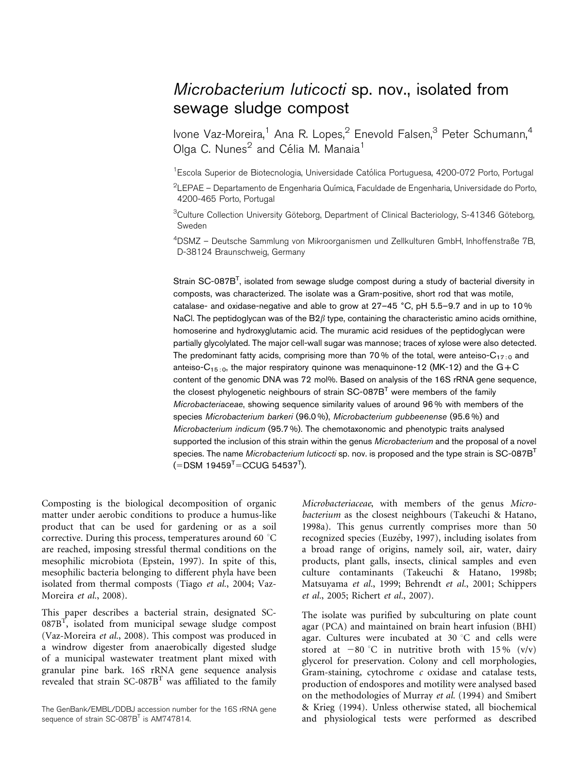## Microbacterium luticocti sp. nov., isolated from sewage sludge compost

Ivone Vaz-Moreira,<sup>1</sup> Ana R. Lopes,<sup>2</sup> Enevold Falsen,<sup>3</sup> Peter Schumann,<sup>4</sup> Olga C. Nunes<sup>2</sup> and Célia M. Manaia<sup>1</sup>

<sup>1</sup> Escola Superior de Biotecnologia, Universidade Católica Portuguesa, 4200-072 Porto, Portugal

 $^2$ LEPAE – Departamento de Engenharia Química, Faculdade de Engenharia, Universidade do Porto, 4200-465 Porto, Portugal

<sup>3</sup>Culture Collection University Göteborg, Department of Clinical Bacteriology, S-41346 Göteborg, Sweden

4 DSMZ – Deutsche Sammlung von Mikroorganismen und Zellkulturen GmbH, Inhoffenstraße 7B, D-38124 Braunschweig, Germany

Strain SC-087B<sup>T</sup>, isolated from sewage sludge compost during a study of bacterial diversity in composts, was characterized. The isolate was a Gram-positive, short rod that was motile, catalase- and oxidase-negative and able to grow at 27-45 °C, pH 5.5-9.7 and in up to 10% NaCl. The peptidoglycan was of the  $B2\beta$  type, containing the characteristic amino acids ornithine, homoserine and hydroxyglutamic acid. The muramic acid residues of the peptidoglycan were partially glycolylated. The major cell-wall sugar was mannose; traces of xylose were also detected. The predominant fatty acids, comprising more than 70% of the total, were anteiso- $C_{17,0}$  and anteiso-C15 : 0, the major respiratory quinone was menaquinone-12 (MK-12) and the G*+*C content of the genomic DNA was 72 mol%. Based on analysis of the 16S rRNA gene sequence, the closest phylogenetic neighbours of strain  $SC-087B<sup>T</sup>$  were members of the family Microbacteriaceae, showing sequence similarity values of around 96 % with members of the species Microbacterium barkeri (96.0 %), Microbacterium gubbeenense (95.6 %) and Microbacterium indicum (95.7 %). The chemotaxonomic and phenotypic traits analysed supported the inclusion of this strain within the genus Microbacterium and the proposal of a novel species. The name Microbacterium luticocti sp. nov. is proposed and the type strain is  $SC-087B<sup>T</sup>$  $(=\text{DSM } 19459^{\text{T}} = \text{CCUG } 54537^{\text{T}}).$ 

Composting is the biological decomposition of organic matter under aerobic conditions to produce a humus-like product that can be used for gardening or as a soil corrective. During this process, temperatures around 60  $^{\circ}$ C are reached, imposing stressful thermal conditions on the mesophilic microbiota (Epstein, 1997). In spite of this, mesophilic bacteria belonging to different phyla have been isolated from thermal composts (Tiago et al., 2004; Vaz-Moreira et al., 2008).

This paper describes a bacterial strain, designated SC- $087B<sup>T</sup>$ , isolated from municipal sewage sludge compost (Vaz-Moreira et al., 2008). This compost was produced in a windrow digester from anaerobically digested sludge of a municipal wastewater treatment plant mixed with granular pine bark. 16S rRNA gene sequence analysis revealed that strain  $SC-087B<sup>T</sup>$  was affiliated to the family

Microbacteriaceae, with members of the genus Microbacterium as the closest neighbours (Takeuchi & Hatano, 1998a). This genus currently comprises more than 50 recognized species (Euzéby, 1997), including isolates from a broad range of origins, namely soil, air, water, dairy products, plant galls, insects, clinical samples and even culture contaminants (Takeuchi & Hatano, 1998b; Matsuyama et al., 1999; Behrendt et al., 2001; Schippers et al., 2005; Richert et al., 2007).

The isolate was purified by subculturing on plate count agar (PCA) and maintained on brain heart infusion (BHI) agar. Cultures were incubated at 30  $^{\circ}$ C and cells were stored at  $-80$  °C in nutritive broth with 15 % (v/v) glycerol for preservation. Colony and cell morphologies, Gram-staining, cytochrome c oxidase and catalase tests, production of endospores and motility were analysed based on the methodologies of Murray et al. (1994) and Smibert & Krieg (1994). Unless otherwise stated, all biochemical and physiological tests were performed as described

The GenBank/EMBL/DDBJ accession number for the 16S rRNA gene sequence of strain SC-087B<sup>T</sup> is AM747814.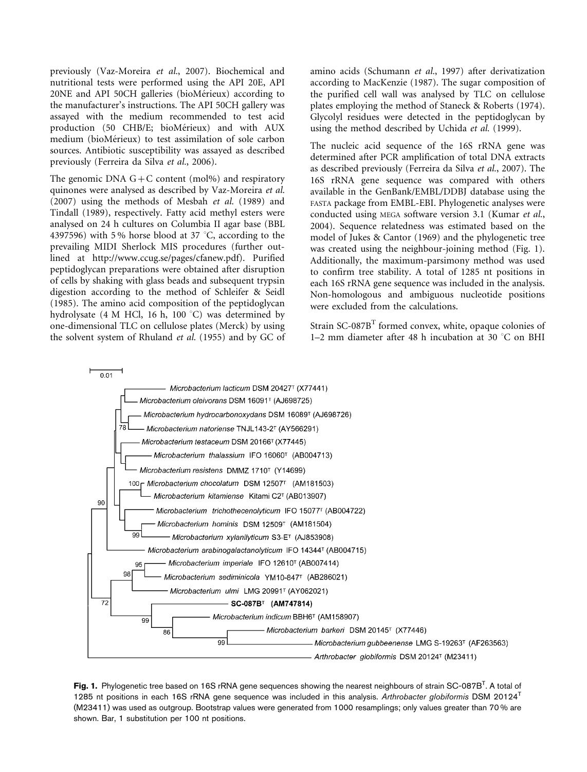previously (Vaz-Moreira et al., 2007). Biochemical and nutritional tests were performed using the API 20E, API 20NE and API 50CH galleries (bioMérieux) according to the manufacturer's instructions. The API 50CH gallery was assayed with the medium recommended to test acid production (50 CHB/E; bioMérieux) and with AUX medium (bioMérieux) to test assimilation of sole carbon sources. Antibiotic susceptibility was assayed as described previously (Ferreira da Silva et al., 2006).

The genomic DNA  $G + C$  content (mol%) and respiratory quinones were analysed as described by Vaz-Moreira et al. (2007) using the methods of Mesbah et al. (1989) and Tindall (1989), respectively. Fatty acid methyl esters were analysed on 24 h cultures on Columbia II agar base (BBL 4397596) with 5 % horse blood at 37  $\degree$ C, according to the prevailing MIDI Sherlock MIS procedures (further outlined at http://www.ccug.se/pages/cfanew.pdf). Purified peptidoglycan preparations were obtained after disruption of cells by shaking with glass beads and subsequent trypsin digestion according to the method of Schleifer & Seidl (1985). The amino acid composition of the peptidoglycan hydrolysate (4 M HCl, 16 h, 100 °C) was determined by one-dimensional TLC on cellulose plates (Merck) by using the solvent system of Rhuland et al. (1955) and by GC of amino acids (Schumann et al., 1997) after derivatization according to MacKenzie (1987). The sugar composition of the purified cell wall was analysed by TLC on cellulose plates employing the method of Staneck & Roberts (1974). Glycolyl residues were detected in the peptidoglycan by using the method described by Uchida et al. (1999).

The nucleic acid sequence of the 16S rRNA gene was determined after PCR amplification of total DNA extracts as described previously (Ferreira da Silva et al., 2007). The 16S rRNA gene sequence was compared with others available in the GenBank/EMBL/DDBJ database using the FASTA package from EMBL-EBI. Phylogenetic analyses were conducted using MEGA software version 3.1 (Kumar et al., 2004). Sequence relatedness was estimated based on the model of Jukes & Cantor (1969) and the phylogenetic tree was created using the neighbour-joining method (Fig. 1). Additionally, the maximum-parsimony method was used to confirm tree stability. A total of 1285 nt positions in each 16S rRNA gene sequence was included in the analysis. Non-homologous and ambiguous nucleotide positions were excluded from the calculations.

Strain  $SC-087B<sup>T</sup>$  formed convex, white, opaque colonies of 1–2 mm diameter after 48 h incubation at  $30^{\circ}$ C on BHI



**Fig. 1.** Phylogenetic tree based on 16S rRNA gene sequences showing the nearest neighbours of strain SC-087B<sup>T</sup>. A total of 1285 nt positions in each 16S rRNA gene sequence was included in this analysis. Arthrobacter globiformis DSM 20124<sup>T</sup> (M23411) was used as outgroup. Bootstrap values were generated from 1000 resamplings; only values greater than 70 % are shown. Bar, 1 substitution per 100 nt positions.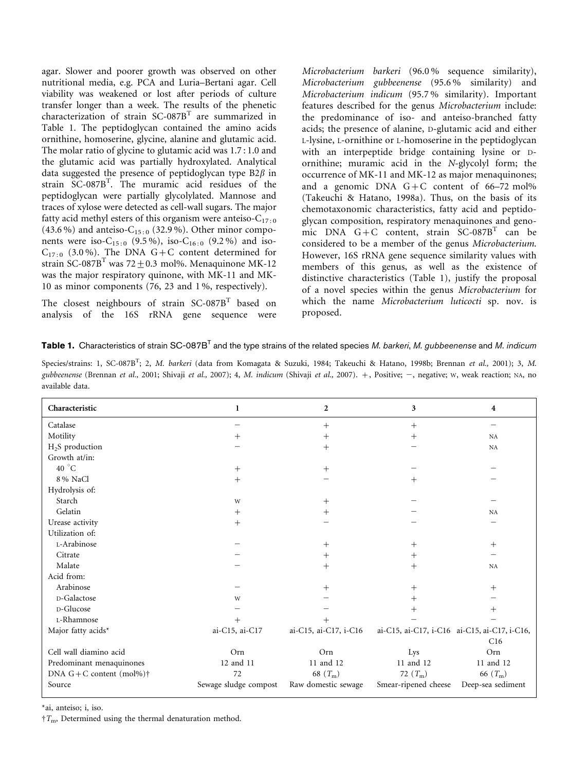agar. Slower and poorer growth was observed on other nutritional media, e.g. PCA and Luria–Bertani agar. Cell viability was weakened or lost after periods of culture transfer longer than a week. The results of the phenetic characterization of strain SC-087B<sup>T</sup> are summarized in Table 1. The peptidoglycan contained the amino acids ornithine, homoserine, glycine, alanine and glutamic acid. The molar ratio of glycine to glutamic acid was 1.7 : 1.0 and the glutamic acid was partially hydroxylated. Analytical data suggested the presence of peptidoglycan type  $B2\beta$  in strain SC-087B<sup>T</sup> . The muramic acid residues of the peptidoglycan were partially glycolylated. Mannose and traces of xylose were detected as cell-wall sugars. The major fatty acid methyl esters of this organism were anteiso- $C_{17 \cdot 0}$ (43.6 %) and anteiso- $C_{15:0}$  (32.9 %). Other minor components were iso-C<sub>15:0</sub> (9.5%), iso-C<sub>16:0</sub> (9.2%) and iso- $C_{17:0}$  (3.0%). The DNA G+C content determined for strain SC-087B<sup>T</sup> was 72+0.3 mol%. Menaquinone MK-12 was the major respiratory quinone, with MK-11 and MK-10 as minor components (76, 23 and 1 %, respectively).

The closest neighbours of strain SC-087B<sup>T</sup> based on analysis of the 16S rRNA gene sequence were

Microbacterium barkeri (96.0 % sequence similarity), Microbacterium gubbeenense (95.6 % similarity) and Microbacterium indicum (95.7 % similarity). Important features described for the genus Microbacterium include: the predominance of iso- and anteiso-branched fatty acids; the presence of alanine, D-glutamic acid and either L-lysine, L-ornithine or L-homoserine in the peptidoglycan with an interpeptide bridge containing lysine or Dornithine; muramic acid in the N-glycolyl form; the occurrence of MK-11 and MK-12 as major menaquinones; and a genomic DNA  $G+C$  content of 66–72 mol% (Takeuchi & Hatano, 1998a). Thus, on the basis of its chemotaxonomic characteristics, fatty acid and peptidoglycan composition, respiratory menaquinones and genomic DNA  $G+C$  content, strain  $SC-087B<sup>T</sup>$  can be considered to be a member of the genus Microbacterium. However, 16S rRNA gene sequence similarity values with members of this genus, as well as the existence of distinctive characteristics (Table 1), justify the proposal of a novel species within the genus Microbacterium for which the name Microbacterium luticocti sp. nov. is proposed.

Species/strains: 1, SC-087B<sup>T</sup>; 2, *M. barkeri* (data from Komagata & Suzuki, 1984; Takeuchi & Hatano, 1998b; Brennan *et al.*, 2001); 3, *M.* gubbeenense (Brennan et al., 2001; Shivaji et al., 2007); 4, M. indicum (Shivaji et al., 2007). +, Positive; -, negative; w, weak reaction; NA, no available data.

| Characteristic                       | 1                     | $\overline{2}$        | 3                    | 4                                            |
|--------------------------------------|-----------------------|-----------------------|----------------------|----------------------------------------------|
| Catalase                             |                       | $^{+}$                | $^{+}$               |                                              |
| Motility                             | $\, +$                | $^{+}$                | $^{+}$               | NA                                           |
| $H2S$ production                     |                       | $^{+}$                |                      | NA                                           |
| Growth at/in:                        |                       |                       |                      |                                              |
| 40 $^{\circ}$ C                      | $^{+}$                | $^{+}$                |                      |                                              |
| 8 % NaCl                             | $+$                   |                       | $^{+}$               |                                              |
| Hydrolysis of:                       |                       |                       |                      |                                              |
| Starch                               | W                     | $^{+}$                |                      |                                              |
| Gelatin                              | $^{+}$                | $^{+}$                |                      | NA                                           |
| Urease activity                      | $^+$                  |                       |                      |                                              |
| Utilization of:                      |                       |                       |                      |                                              |
| L-Arabinose                          |                       | $^{+}$                | $^{+}$               | $^{+}$                                       |
| Citrate                              |                       | $^{+}$                | $^{+}$               |                                              |
| Malate                               |                       | $^+$                  | $^{+}$               | <b>NA</b>                                    |
| Acid from:                           |                       |                       |                      |                                              |
| Arabinose                            |                       | $\hspace{0.1mm} +$    | $^{+}$               | $^{+}$                                       |
| D-Galactose                          | W                     |                       | $^{+}$               |                                              |
| D-Glucose                            |                       |                       | $\, + \,$            | $\hspace{0.1mm} +$                           |
| L-Rhamnose                           |                       |                       |                      |                                              |
| Major fatty acids*                   | ai-C15, ai-C17        | ai-C15, ai-C17, i-C16 |                      | ai-C15, ai-C17, i-C16 ai-C15, ai-C17, i-C16, |
|                                      |                       |                       |                      | C16                                          |
| Cell wall diamino acid               | Orn                   | Orn                   | Lys                  | Orn                                          |
| Predominant menaquinones             | 12 and 11             | 11 and 12             | 11 and 12            | 11 and 12                                    |
| DNA $G + C$ content (mol%) $\dagger$ | 72                    | 68 $(T_m)$            | 72 $(T_m)$           | 66 $(T_{\rm m})$                             |
| Source                               | Sewage sludge compost | Raw domestic sewage   | Smear-ripened cheese | Deep-sea sediment                            |

\*ai, anteiso; i, iso.

 $T_{\text{m}}$ , Determined using the thermal denaturation method.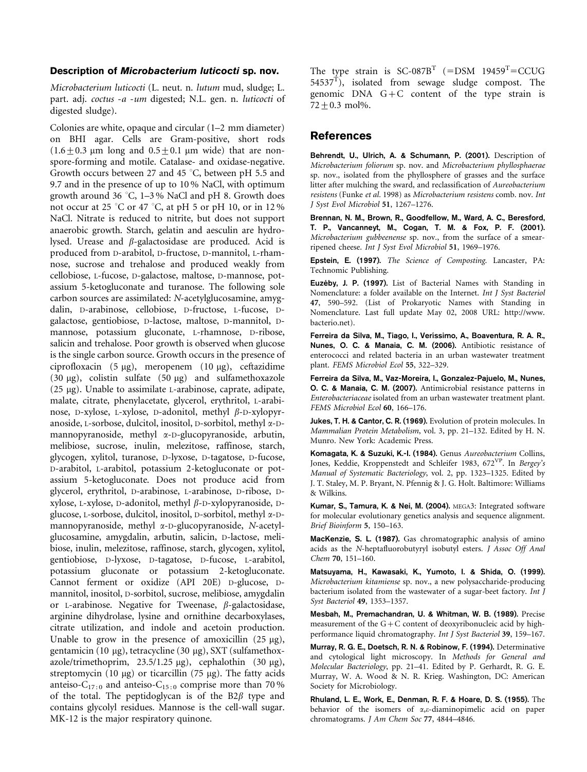## Description of Microbacterium luticocti sp. nov.

Microbacterium luticocti (L. neut. n. lutum mud, sludge; L. part. adj. coctus -a -um digested; N.L. gen. n. luticocti of digested sludge).

Colonies are white, opaque and circular (1–2 mm diameter) on BHI agar. Cells are Gram-positive, short rods  $(1.6+0.3 \mu m)$  long and  $0.5+0.1 \mu m$  wide) that are nonspore-forming and motile. Catalase- and oxidase-negative. Growth occurs between 27 and 45  $^{\circ}$ C, between pH 5.5 and 9.7 and in the presence of up to 10 % NaCl, with optimum growth around 36 °C, 1–3 % NaCl and pH 8. Growth does not occur at 25 °C or 47 °C, at pH 5 or pH 10, or in 12 % NaCl. Nitrate is reduced to nitrite, but does not support anaerobic growth. Starch, gelatin and aesculin are hydrolysed. Urease and  $\beta$ -galactosidase are produced. Acid is produced from D-arabitol, D-fructose, D-mannitol, L-rhamnose, sucrose and trehalose and produced weakly from cellobiose, L-fucose, D-galactose, maltose, D-mannose, potassium 5-ketogluconate and turanose. The following sole carbon sources are assimilated: N-acetylglucosamine, amygdalin, D-arabinose, cellobiose, D-fructose, L-fucose, Dgalactose, gentiobiose, D-lactose, maltose, D-mannitol, Dmannose, potassium gluconate, L-rhamnose, D-ribose, salicin and trehalose. Poor growth is observed when glucose is the single carbon source. Growth occurs in the presence of ciprofloxacin  $(5 \mu g)$ , meropenem  $(10 \mu g)$ , ceftazidime (30  $\mu$ g), colistin sulfate (50  $\mu$ g) and sulfamethoxazole (25 mg). Unable to assimilate L-arabinose, caprate, adipate, malate, citrate, phenylacetate, glycerol, erythritol, L-arabinose, D-xylose, L-xylose, D-adonitol, methyl  $\beta$ -D-xylopyranoside, L-sorbose, dulcitol, inositol, D-sorbitol, methyl a-Dmannopyranoside, methyl a-D-glucopyranoside, arbutin, melibiose, sucrose, inulin, melezitose, raffinose, starch, glycogen, xylitol, turanose, D-lyxose, D-tagatose, D-fucose, D-arabitol, L-arabitol, potassium 2-ketogluconate or potassium 5-ketogluconate. Does not produce acid from glycerol, erythritol, D-arabinose, L-arabinose, D-ribose, Dxylose, L-xylose, D-adonitol, methyl  $\beta$ -D-xylopyranoside, Dglucose, L-sorbose, dulcitol, inositol, D-sorbitol, methyl a-Dmannopyranoside, methyl a-D-glucopyranoside, N-acetylglucosamine, amygdalin, arbutin, salicin, D-lactose, melibiose, inulin, melezitose, raffinose, starch, glycogen, xylitol, gentiobiose, D-lyxose, D-tagatose, D-fucose, L-arabitol, potassium gluconate or potassium 2-ketogluconate. Cannot ferment or oxidize (API 20E) D-glucose, Dmannitol, inositol, D-sorbitol, sucrose, melibiose, amygdalin or L-arabinose. Negative for Tweenase,  $\beta$ -galactosidase, arginine dihydrolase, lysine and ornithine decarboxylases, citrate utilization, and indole and acetoin production. Unable to grow in the presence of amoxicillin  $(25 \mu g)$ , gentamicin (10  $\mu$ g), tetracycline (30  $\mu$ g), SXT (sulfamethoxazole/trimethoprim,  $23.5/1.25 \mu g$ ), cephalothin (30  $\mu g$ ), streptomycin (10  $\mu$ g) or ticarcillin (75  $\mu$ g). The fatty acids anteiso-C<sub>17:0</sub> and anteiso-C<sub>15:0</sub> comprise more than 70% of the total. The peptidoglycan is of the  $B2\beta$  type and contains glycolyl residues. Mannose is the cell-wall sugar. MK-12 is the major respiratory quinone.

The type strain is  $SC-087B<sup>T</sup>$  (=DSM 19459<sup>T</sup>=CCUG  $54537^{\text{T}}$ , isolated from sewage sludge compost. The genomic DNA G+C content of the type strain is  $72 + 0.3$  mol%.

## References

Behrendt, U., Ulrich, A. & Schumann, P. (2001). Description of Microbacterium foliorum sp. nov. and Microbacterium phyllosphaerae sp. nov., isolated from the phyllosphere of grasses and the surface litter after mulching the sward, and reclassification of Aureobacterium resistens (Funke et al. 1998) as Microbacterium resistens comb. nov. Int J Syst Evol Microbiol 51, 1267–1276.

Brennan, N. M., Brown, R., Goodfellow, M., Ward, A. C., Beresford, T. P., Vancanneyt, M., Cogan, T. M. & Fox, P. F. (2001). Microbacterium gubbeenense sp. nov., from the surface of a smearripened cheese. Int J Syst Evol Microbiol 51, 1969–1976.

Epstein, E. (1997). The Science of Composting. Lancaster, PA: Technomic Publishing.

Euzéby, J. P. (1997). List of Bacterial Names with Standing in Nomenclature: a folder available on the Internet. Int J Syst Bacteriol 47, 590–592. (List of Prokaryotic Names with Standing in Nomenclature. Last full update May 02, 2008 URL: http://www. bacterio.net).

Ferreira da Silva, M., Tiago, I., Veríssimo, A., Boaventura, R. A. R., Nunes, O. C. & Manaia, C. M. (2006). Antibiotic resistance of enterococci and related bacteria in an urban wastewater treatment plant. FEMS Microbiol Ecol 55, 322–329.

Ferreira da Silva, M., Vaz-Moreira, I., Gonzalez-Pajuelo, M., Nunes, O. C. & Manaia, C. M. (2007). Antimicrobial resistance patterns in Enterobacteriaceae isolated from an urban wastewater treatment plant. FEMS Microbiol Ecol 60, 166–176.

Jukes, T. H. & Cantor, C. R. (1969). Evolution of protein molecules. In Mammalian Protein Metabolism, vol. 3, pp. 21–132. Edited by H. N. Munro. New York: Academic Press.

Komagata, K. & Suzuki, K.-I. (1984). Genus Aureobacterium Collins, Jones, Keddie, Kroppenstedt and Schleifer 1983, 672<sup>VP</sup>. In Bergey's Manual of Systematic Bacteriology, vol. 2, pp. 1323–1325. Edited by J. T. Staley, M. P. Bryant, N. Pfennig & J. G. Holt. Baltimore: Williams & Wilkins.

Kumar, S., Tamura, K. & Nei, M. (2004). MEGA3: Integrated software for molecular evolutionary genetics analysis and sequence alignment. Brief Bioinform 5, 150–163.

MacKenzie, S. L. (1987). Gas chromatographic analysis of amino acids as the N-heptafluorobutyryl isobutyl esters. J Assoc Off Anal Chem 70, 151–160.

Matsuyama, H., Kawasaki, K., Yumoto, I. & Shida, O. (1999). Microbacterium kitamiense sp. nov., a new polysaccharide-producing bacterium isolated from the wastewater of a sugar-beet factory. Int J Syst Bacteriol 49, 1353–1357.

Mesbah, M., Premachandran, U. & Whitman, W. B. (1989). Precise measurement of the  $G+C$  content of deoxyribonucleic acid by highperformance liquid chromatography. Int J Syst Bacteriol 39, 159–167.

Murray, R. G. E., Doetsch, R. N. & Robinow, F. (1994). Determinative and cytological light microscopy. In Methods for General and Molecular Bacteriology, pp. 21–41. Edited by P. Gerhardt, R. G. E. Murray, W. A. Wood & N. R. Krieg. Washington, DC: American Society for Microbiology.

Rhuland, L. E., Work, E., Denman, R. F. & Hoare, D. S. (1955). The behavior of the isomers of  $\alpha$ , $\varepsilon$ -diaminopimelic acid on paper chromatograms. J Am Chem Soc 77, 4844–4846.